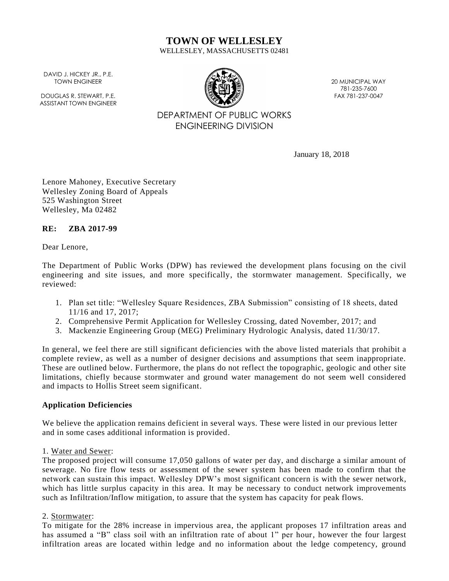# **TOWN OF WELLESLEY**

WELLESLEY, MASSACHUSETTS 02481

DAVID J. HICKEY JR., P.E. TOWN ENGINEER

DOUGLAS R. STEWART, P.F. ASSISTANT TOWN ENGINEER



20 MUNICIPAL WAY 781-235-7600 FAX 781-237-0047

# DEPARTMENT OF PUBLIC WORKS ENGINEERING DIVISION

January 18, 2018

Lenore Mahoney, Executive Secretary Wellesley Zoning Board of Appeals 525 Washington Street Wellesley, Ma 02482

# **RE: ZBA 2017-99**

Dear Lenore,

The Department of Public Works (DPW) has reviewed the development plans focusing on the civil engineering and site issues, and more specifically, the stormwater management. Specifically, we reviewed:

- 1. Plan set title: "Wellesley Square Residences, ZBA Submission" consisting of 18 sheets, dated 11/16 and 17, 2017;
- 2. Comprehensive Permit Application for Wellesley Crossing, dated November, 2017; and
- 3. Mackenzie Engineering Group (MEG) Preliminary Hydrologic Analysis, dated 11/30/17.

In general, we feel there are still significant deficiencies with the above listed materials that prohibit a complete review, as well as a number of designer decisions and assumptions that seem inappropriate. These are outlined below. Furthermore, the plans do not reflect the topographic, geologic and other site limitations, chiefly because stormwater and ground water management do not seem well considered and impacts to Hollis Street seem significant.

# **Application Deficiencies**

We believe the application remains deficient in several ways. These were listed in our previous letter and in some cases additional information is provided.

#### 1. Water and Sewer:

The proposed project will consume 17,050 gallons of water per day, and discharge a similar amount of sewerage. No fire flow tests or assessment of the sewer system has been made to confirm that the network can sustain this impact. Wellesley DPW's most significant concern is with the sewer network, which has little surplus capacity in this area. It may be necessary to conduct network improvements such as Infiltration/Inflow mitigation, to assure that the system has capacity for peak flows.

# 2. Stormwater:

To mitigate for the 28% increase in impervious area, the applicant proposes 17 infiltration areas and has assumed a "B" class soil with an infiltration rate of about 1" per hour, however the four largest infiltration areas are located within ledge and no information about the ledge competency, ground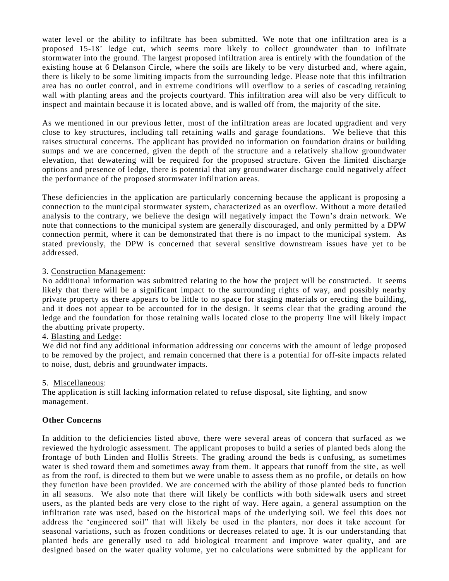water level or the ability to infiltrate has been submitted. We note that one infiltration area is a proposed 15-18' ledge cut, which seems more likely to collect groundwater than to infiltrate stormwater into the ground. The largest proposed infiltration area is entirely with the foundation of the existing house at 6 Delanson Circle, where the soils are likely to be very disturbed and, where again, there is likely to be some limiting impacts from the surrounding ledge. Please note that this infiltration area has no outlet control, and in extreme conditions will overflow to a series of cascading retaining wall with planting areas and the projects courtyard. This infiltration area will also be very difficult to inspect and maintain because it is located above, and is walled off from, the majority of the site.

As we mentioned in our previous letter, most of the infiltration areas are located upgradient and very close to key structures, including tall retaining walls and garage foundations. We believe that this raises structural concerns. The applicant has provided no information on foundation drains or building sumps and we are concerned, given the depth of the structure and a relatively shallow groundwater elevation, that dewatering will be required for the proposed structure. Given the limited discharge options and presence of ledge, there is potential that any groundwater discharge could negatively affect the performance of the proposed stormwater infiltration areas.

These deficiencies in the application are particularly concerning because the applicant is proposing a connection to the municipal stormwater system, characterized as an overflow. Without a more detailed analysis to the contrary, we believe the design will negatively impact the Town's drain network. We note that connections to the municipal system are generally discouraged, and only permitted by a DPW connection permit, where it can be demonstrated that there is no impact to the municipal system. As stated previously, the DPW is concerned that several sensitive downstream issues have yet to be addressed.

### 3. Construction Management:

No additional information was submitted relating to the how the project will be constructed. It seems likely that there will be a significant impact to the surrounding rights of way, and possibly nearby private property as there appears to be little to no space for staging materials or erecting the building, and it does not appear to be accounted for in the design. It seems clear that the grading around the ledge and the foundation for those retaining walls located close to the property line will likely impact the abutting private property.

#### 4. Blasting and Ledge:

We did not find any additional information addressing our concerns with the amount of ledge proposed to be removed by the project, and remain concerned that there is a potential for off-site impacts related to noise, dust, debris and groundwater impacts.

#### 5. Miscellaneous:

The application is still lacking information related to refuse disposal, site lighting, and snow management.

#### **Other Concerns**

In addition to the deficiencies listed above, there were several areas of concern that surfaced as we reviewed the hydrologic assessment. The applicant proposes to build a series of planted beds along the frontage of both Linden and Hollis Streets. The grading around the beds is confusing, as sometimes water is shed toward them and sometimes away from them. It appears that runoff from the site , as well as from the roof, is directed to them but we were unable to assess them as no profile, or details on how they function have been provided. We are concerned with the ability of those planted beds to function in all seasons. We also note that there will likely be conflicts with both sidewalk users and street users, as the planted beds are very close to the right of way. Here again, a general assumption on the infiltration rate was used, based on the historical maps of the underlying soil. We feel this does not address the 'engineered soil" that will likely be used in the planters, nor does it take account for seasonal variations, such as frozen conditions or decreases related to age. It is our understanding that planted beds are generally used to add biological treatment and improve water quality, and are designed based on the water quality volume, yet no calculations were submitted by the applicant for